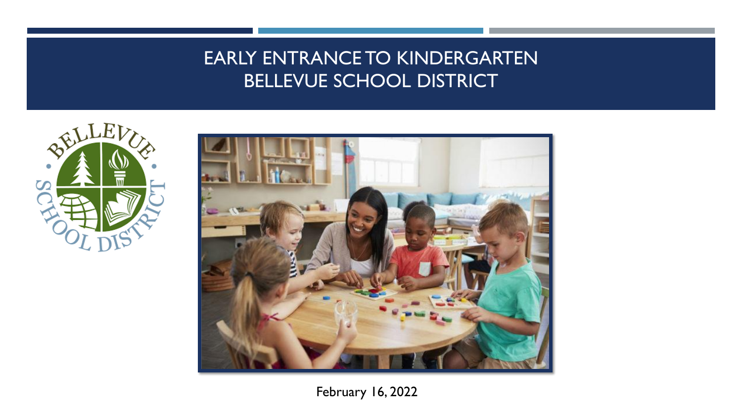## EARLY ENTRANCE TO KINDERGARTEN BELLEVUE SCHOOL DISTRICT





February 16, 2022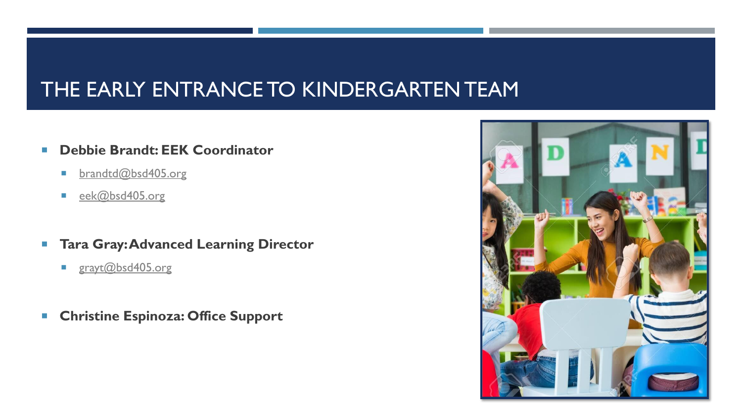# THE EARLY ENTRANCE TO KINDERGARTEN TEAM

- **Debbie Brandt: EEK Coordinator**
	- **[brandtd@bsd405.org](mailto:brandtd@bsd405.org)**
	- [eek@bsd405.org](mailto:eek@bsd405.org)
- **Tara Gray: Advanced Learning Director** 
	- [grayt@bsd405.org](mailto:grayt@bsd405.org)
- **Christine Espinoza: Office Support**

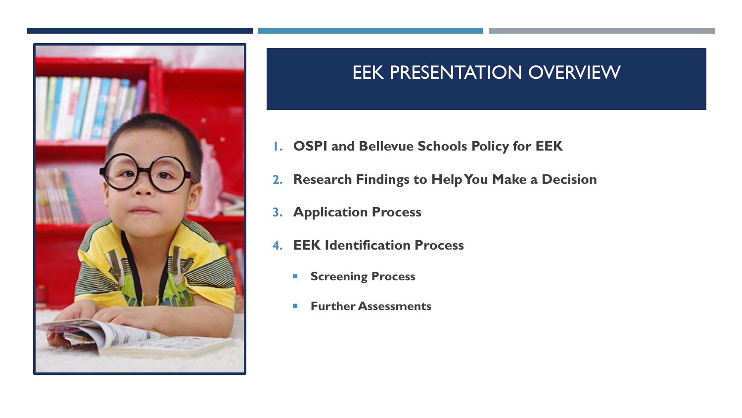

### EEK PRESENTATION OVERVIEW

- **1. OSPI and Bellevue Schools Policy for EEK**
- **2. Research Findings to Help You Make a Decision**
- **3. Application Process**
- **4. EEK Identification Process**
	- **Screening Process**
	- **Further Assessments**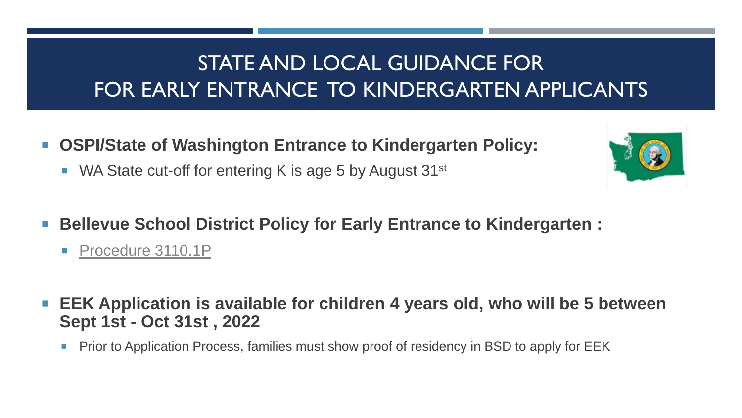# STATE AND LOCAL GUIDANCE FOR FOR EARLY ENTRANCE TO KINDERGARTEN APPLICANTS

- **OSPI/State of Washington Entrance to Kindergarten Policy:**
	- WA State cut-off for entering K is age 5 by August  $31^{st}$
- Bellevue School District Policy for Early Entrance to Kindergarten :
	- [Procedure 3110.1P](https://bsd405.org/wp-content/pdf/policy/3110-1p.pdf)
- **EEK Application is available for children 4 years old, who will be 5 between Sept 1st - Oct 31st , 2022**
	- **Prior to Application Process, families must show proof of residency in BSD to apply for EEK**

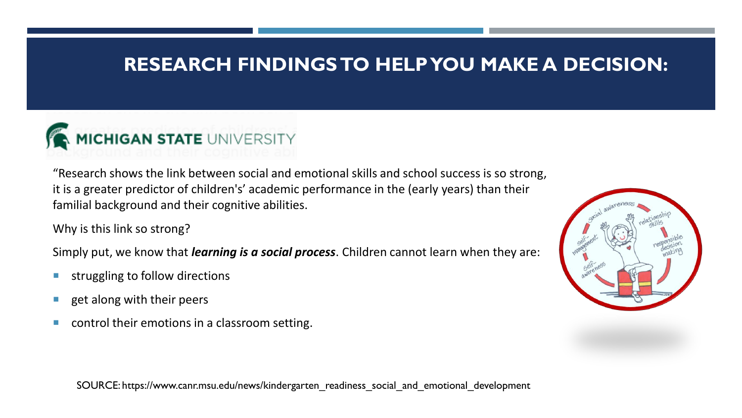### **RESEARCH FINDINGS TO HELP YOU MAKE A DECISION:**



"Research shows the link between social and emotional skills and school success is so strong, it is a greater predictor of children's' academic performance in the (early years) than their familial background and their cognitive abilities.

Why is this link so strong?

Simply put, we know that *learning is a social process*. Children cannot learn when they are:

- struggling to follow directions
- $\blacksquare$  get along with their peers
- **CONDUM** control their emotions in a classroom setting.

SOURCE: https://www.canr.msu.edu/news/kindergarten\_readiness\_social\_and\_emotional\_development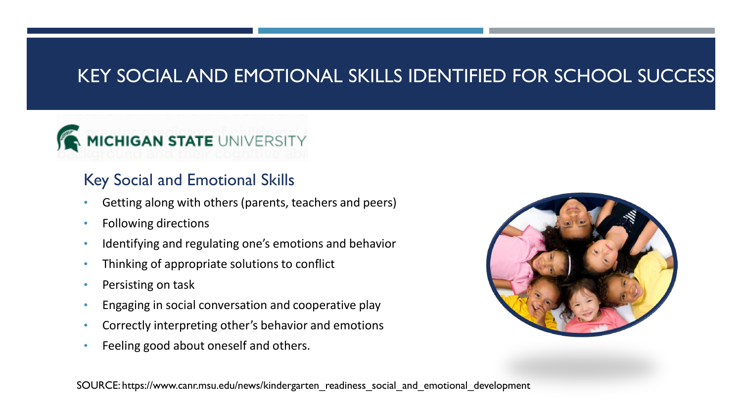## KEY SOCIAL AND EMOTIONAL SKILLS IDENTIFIED FOR SCHOOL SUCCESS

# MICHIGAN STATE UNIVERSITY

### Key Social and Emotional Skills

- Getting along with others (parents, teachers and peers)
- Following directions
- Identifying and regulating one's emotions and behavior
- Thinking of appropriate solutions to conflict
- Persisting on task
- Engaging in social conversation and cooperative play
- Correctly interpreting other's behavior and emotions
- Feeling good about oneself and others.



SOURCE: https://www.canr.msu.edu/news/kindergarten\_readiness\_social\_and\_emotional\_development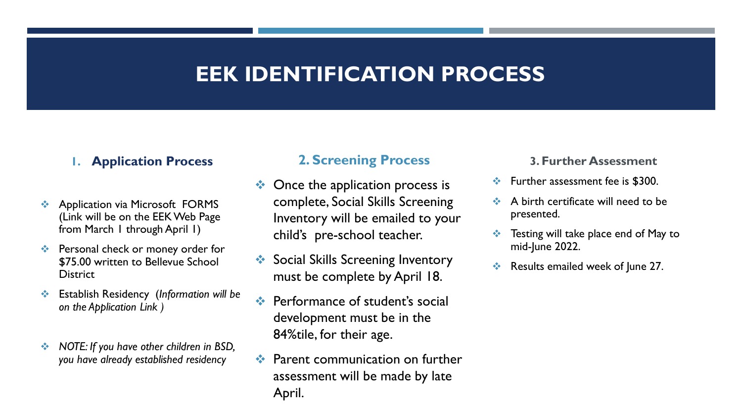### **EEK IDENTIFICATION PROCESS**

#### **1. Application Process**

- **❖** Application via Microsoft FORMS (Link will be on the EEK Web Page from March 1 through April 1)
- ❖ Personal check or money order for \$75.00 written to Bellevue School **District**
- ❖ Establish Residency (*Information will be on the Application Link )*
- ❖ *NOTE: If you have other children in BSD, you have already established residency*

#### **2. Screening Process**

- $\triangleleft$  Once the application process is complete, Social Skills Screening Inventory will be emailed to your child's pre-school teacher.
- Social Skills Screening Inventory must be complete by April 18.
- Performance of student's social development must be in the 84%tile, for their age.
- ❖ Parent communication on further assessment will be made by late April.

#### **3. Further Assessment**

- ❖ Further assessment fee is \$300.
- ❖ A birth certificate will need to be presented.
- Testing will take place end of May to mid-June 2022.
- ❖ Results emailed week of June 27.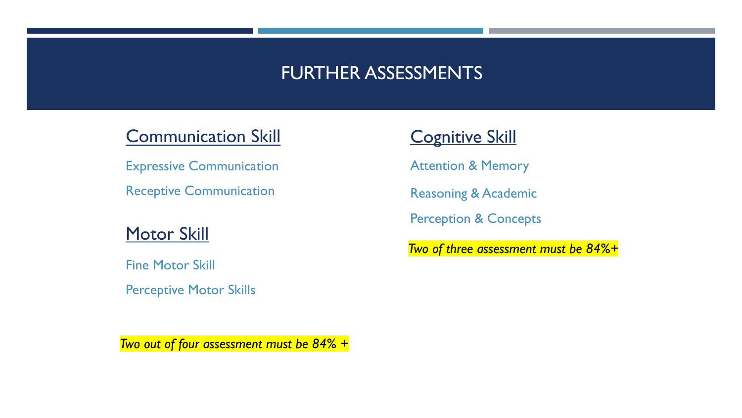### FURTHER ASSESSMENTS

### Communication Skill

Expressive Communication

Receptive Communication

### Motor Skill

Fine Motor Skill

Perceptive Motor Skills

### **Cognitive Skill**

Attention & Memory

Reasoning & Academic

Perception & Concepts

*Two of three assessment must be 84%+*

*Two out of four assessment must be 84% +*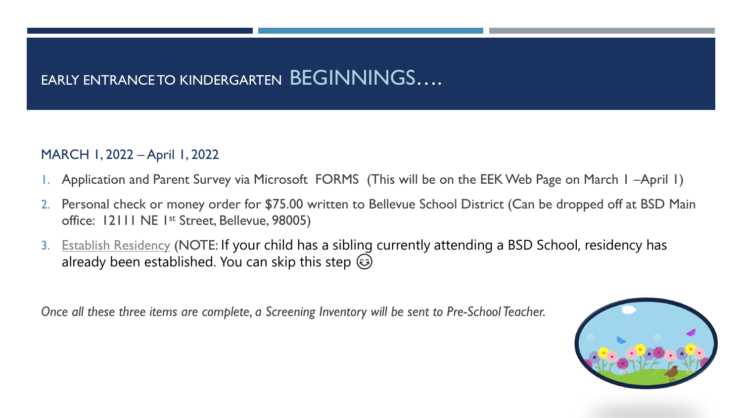### EARLY ENTRANCE TO KINDERGARTEN BEGINNINGS....

#### MARCH 1, 2022 – April 1, 2022

- 1. Application and Parent Survey via Microsoft FORMS (This will be on the EEK Web Page on March 1 –April 1)
- 2. Personal check or money order for \$75.00 written to Bellevue School District (Can be dropped off at BSD Main office: 12111 NE 1st Street, Bellevue, 98005)
- 3. [Establish Residency](https://bsd405.org/schools/enrollment/enroll-your-student/establish-residency/) (NOTE: If your child has a sibling currently attending a BSD School, residency has already been established. You can skip this step  $\circled{e}$

*Once all these three items are complete, a Screening Inventory will be sent to Pre-School Teacher.*

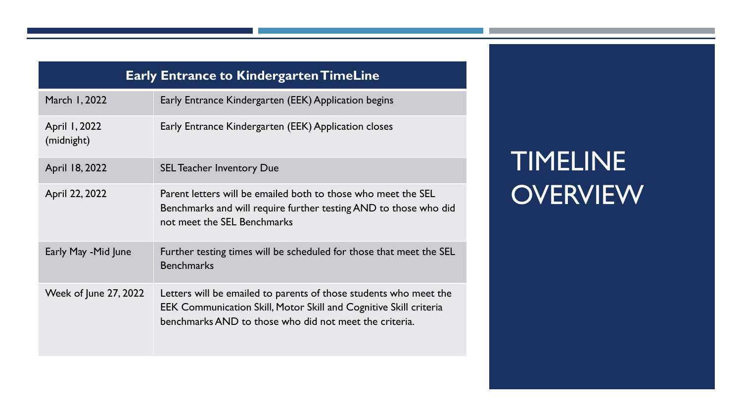| <b>Early Entrance to Kindergarten TimeLine</b> |                                                                                                                                                                                                         |
|------------------------------------------------|---------------------------------------------------------------------------------------------------------------------------------------------------------------------------------------------------------|
| March 1, 2022                                  | Early Entrance Kindergarten (EEK) Application begins                                                                                                                                                    |
| April 1, 2022<br>(midnight)                    | Early Entrance Kindergarten (EEK) Application closes                                                                                                                                                    |
| April 18, 2022                                 | <b>SEL Teacher Inventory Due</b>                                                                                                                                                                        |
| April 22, 2022                                 | Parent letters will be emailed both to those who meet the SEL<br>Benchmarks and will require further testing AND to those who did<br>not meet the SEL Benchmarks                                        |
| Early May -Mid June                            | Further testing times will be scheduled for those that meet the SEL<br><b>Benchmarks</b>                                                                                                                |
| <b>Week of June 27, 2022</b>                   | Letters will be emailed to parents of those students who meet the<br><b>EEK Communication Skill, Motor Skill and Cognitive Skill criteria</b><br>benchmarks AND to those who did not meet the criteria. |

# TIMELINE **OVERVIEW**